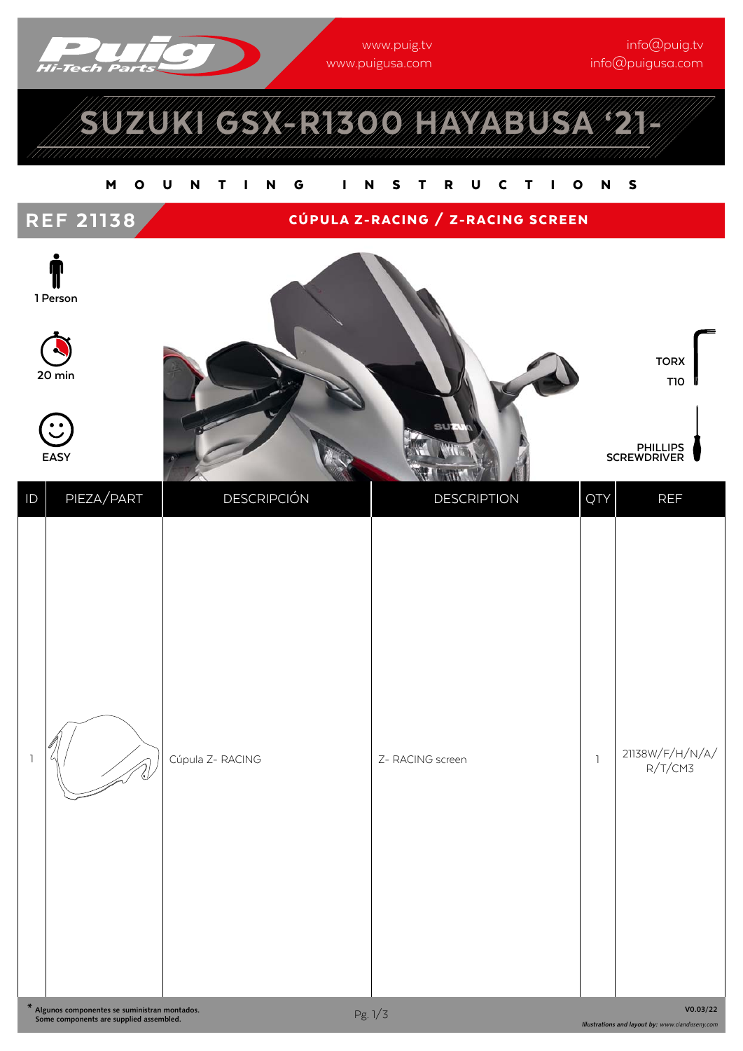

www.puig.tv<br>www.puigusa.com ww.puis and computer and computer and computer and computer and computer and computer and computer and computer  $\mathcal{O}$ 

# SUZUKI GSX-R1300 HAYABUSA '21-

#### MOUNTING INSTRUCTIONS



### REF 21138 CÚPULA Z-RACING / Z-RACING SCREEN



**20 min**

**EASY**



ID PIEZA/PART | DESCRIPCIÓN | DESCRIPTION | QTY REF  $\begin{bmatrix} 1 & 1 & 1 \ 1 & 1 & 1 \end{bmatrix}$   $\begin{bmatrix} 2 & 1 & 1 \ 1 & 1 & 1 \end{bmatrix}$   $\begin{bmatrix} 2 & 1 & 1 \ 1 & 1 & 1 \end{bmatrix}$   $\begin{bmatrix} 1 & 1 & 1 \ 1 & 1 & 1 \end{bmatrix}$   $\begin{bmatrix} 1 & 1 & 1 \ 1 & 1 & 1 \end{bmatrix}$   $\begin{bmatrix} 1 & 1 & 1 \ 1 & 1 & 1 \end{bmatrix}$   $\begin{bmatrix} 1 & 1 & 1 \ 1 & 1 & 1 \end{bmatrix$  $R/T/CM3$ 

**V0.03/22**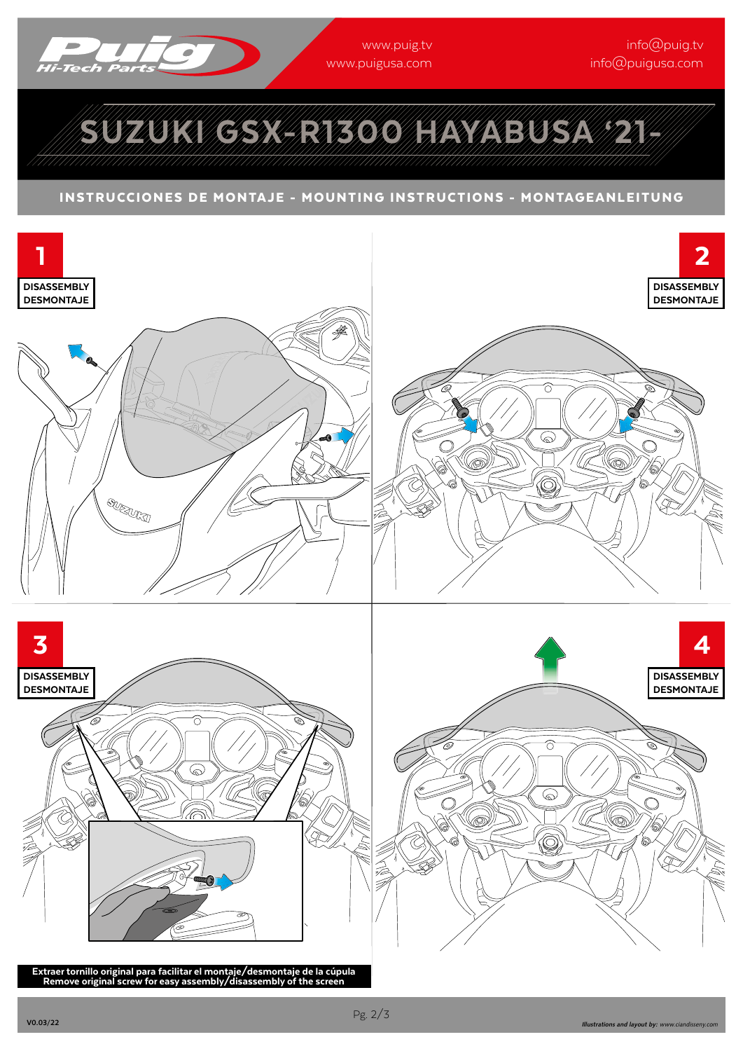

www.publica.com ww.puis and computer and computer and computer and computer and computer and computer and computer and computer  $\mathcal{O}$  inne Cipergres<br>Infinition com

## SUZUKI GSX-R1300 HAYABUSA '21-

#### INSTRUCCIONES DE MONTAJE - MOUNTING INSTRUCTIONS - MONTAGEANLEITUNG



Extraer tornillo original para facilitar el montaje/desmontaje de la cúpula Remove original screw for easy assembly/disassembly of the screen